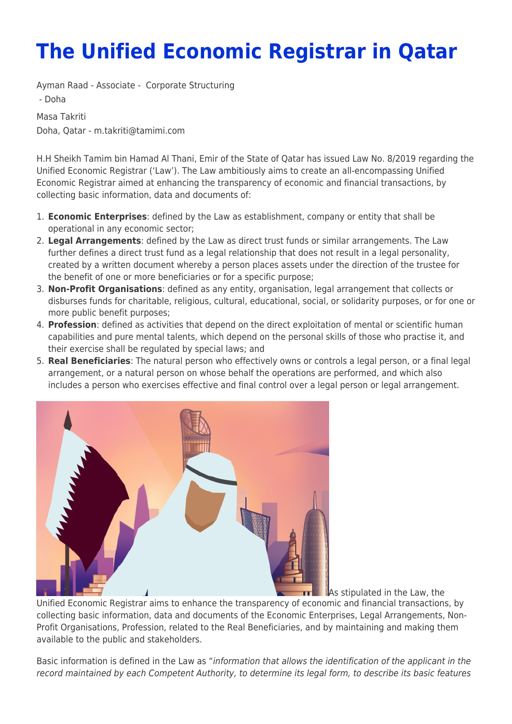## **The Unified Economic Registrar in Qatar**

Ayman Raad - Associate - [Corporate Structuring](https://www.tamimi.com/client-services/practices/corporate-structuring/)

- [Doha](https://www.tamimi.com/locations/qatar/)

Masa Takriti [Doha, Qatar](#page--1-0) - m.takriti@tamimi.com

H.H Sheikh Tamim bin Hamad Al Thani, Emir of the State of Qatar has issued Law No. 8/2019 regarding the Unified Economic Registrar ('Law'). The Law ambitiously aims to create an all-encompassing Unified Economic Registrar aimed at enhancing the transparency of economic and financial transactions, by collecting basic information, data and documents of:

- 1. **Economic Enterprises**: defined by the Law as establishment, company or entity that shall be operational in any economic sector;
- 2. **Legal Arrangements**: defined by the Law as direct trust funds or similar arrangements. The Law further defines a direct trust fund as a legal relationship that does not result in a legal personality, created by a written document whereby a person places assets under the direction of the trustee for the benefit of one or more beneficiaries or for a specific purpose;
- 3. **Non-Profit Organisations**: defined as any entity, organisation, legal arrangement that collects or disburses funds for charitable, religious, cultural, educational, social, or solidarity purposes, or for one or more public benefit purposes;
- 4. **Profession**: defined as activities that depend on the direct exploitation of mental or scientific human capabilities and pure mental talents, which depend on the personal skills of those who practise it, and their exercise shall be regulated by special laws; and
- 5. **Real Beneficiaries**: The natural person who effectively owns or controls a legal person, or a final legal arrangement, or a natural person on whose behalf the operations are performed, and which also includes a person who exercises effective and final control over a legal person or legal arrangement.



As stipulated in the Law, the

Unified Economic Registrar aims to enhance the transparency of economic and financial transactions, by collecting basic information, data and documents of the Economic Enterprises, Legal Arrangements, Non-Profit Organisations, Profession, related to the Real Beneficiaries, and by maintaining and making them available to the public and stakeholders.

Basic information is defined in the Law as "information that allows the identification of the applicant in the record maintained by each Competent Authority, to determine its legal form, to describe its basic features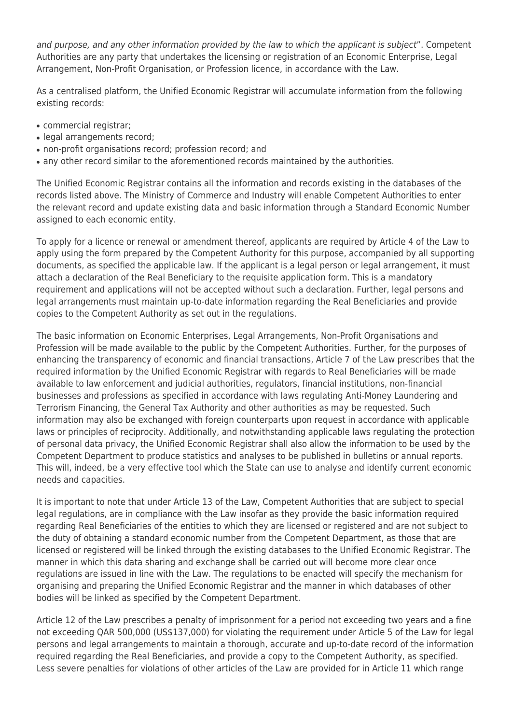and purpose, and any other information provided by the law to which the applicant is subject". Competent Authorities are any party that undertakes the licensing or registration of an Economic Enterprise, Legal Arrangement, Non-Profit Organisation, or Profession licence, in accordance with the Law.

As a centralised platform, the Unified Economic Registrar will accumulate information from the following existing records:

- commercial registrar;
- legal arrangements record:
- non-profit organisations record; profession record; and
- any other record similar to the aforementioned records maintained by the authorities.

The Unified Economic Registrar contains all the information and records existing in the databases of the records listed above. The Ministry of Commerce and Industry will enable Competent Authorities to enter the relevant record and update existing data and basic information through a Standard Economic Number assigned to each economic entity.

To apply for a licence or renewal or amendment thereof, applicants are required by Article 4 of the Law to apply using the form prepared by the Competent Authority for this purpose, accompanied by all supporting documents, as specified the applicable law. If the applicant is a legal person or legal arrangement, it must attach a declaration of the Real Beneficiary to the requisite application form. This is a mandatory requirement and applications will not be accepted without such a declaration. Further, legal persons and legal arrangements must maintain up-to-date information regarding the Real Beneficiaries and provide copies to the Competent Authority as set out in the regulations.

The basic information on Economic Enterprises, Legal Arrangements, Non-Profit Organisations and Profession will be made available to the public by the Competent Authorities. Further, for the purposes of enhancing the transparency of economic and financial transactions, Article 7 of the Law prescribes that the required information by the Unified Economic Registrar with regards to Real Beneficiaries will be made available to law enforcement and judicial authorities, regulators, financial institutions, non-financial businesses and professions as specified in accordance with laws regulating Anti-Money Laundering and Terrorism Financing, the General Tax Authority and other authorities as may be requested. Such information may also be exchanged with foreign counterparts upon request in accordance with applicable laws or principles of reciprocity. Additionally, and notwithstanding applicable laws regulating the protection of personal data privacy, the Unified Economic Registrar shall also allow the information to be used by the Competent Department to produce statistics and analyses to be published in bulletins or annual reports. This will, indeed, be a very effective tool which the State can use to analyse and identify current economic needs and capacities.

It is important to note that under Article 13 of the Law, Competent Authorities that are subject to special legal regulations, are in compliance with the Law insofar as they provide the basic information required regarding Real Beneficiaries of the entities to which they are licensed or registered and are not subject to the duty of obtaining a standard economic number from the Competent Department, as those that are licensed or registered will be linked through the existing databases to the Unified Economic Registrar. The manner in which this data sharing and exchange shall be carried out will become more clear once regulations are issued in line with the Law. The regulations to be enacted will specify the mechanism for organising and preparing the Unified Economic Registrar and the manner in which databases of other bodies will be linked as specified by the Competent Department.

Article 12 of the Law prescribes a penalty of imprisonment for a period not exceeding two years and a fine not exceeding QAR 500,000 (US\$137,000) for violating the requirement under Article 5 of the Law for legal persons and legal arrangements to maintain a thorough, accurate and up-to-date record of the information required regarding the Real Beneficiaries, and provide a copy to the Competent Authority, as specified. Less severe penalties for violations of other articles of the Law are provided for in Article 11 which range